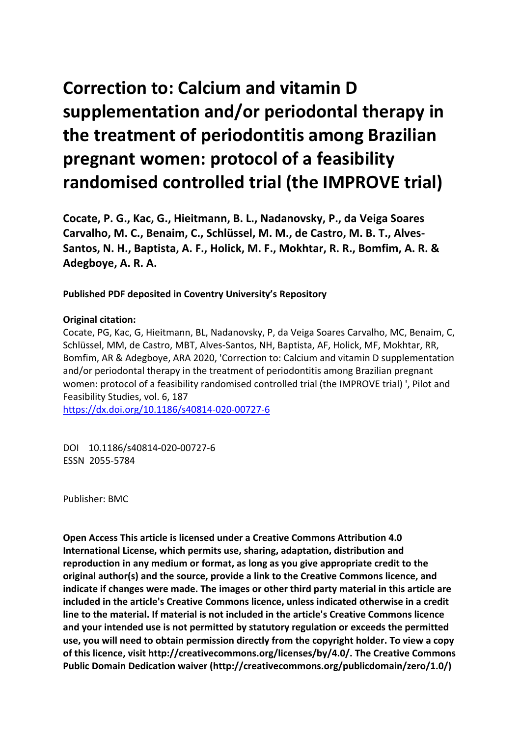## **Correction to: Calcium and vitamin D supplementation and/or periodontal therapy in the treatment of periodontitis among Brazilian pregnant women: protocol of a feasibility randomised controlled trial (the IMPROVE trial)**

**Cocate, P. G., Kac, G., Hieitmann, B. L., Nadanovsky, P., da Veiga Soares Carvalho, M. C., Benaim, C., Schlüssel, M. M., de Castro, M. B. T., Alves-Santos, N. H., Baptista, A. F., Holick, M. F., Mokhtar, R. R., Bomfim, A. R. & Adegboye, A. R. A.** 

**Published PDF deposited in Coventry University's Repository** 

## **Original citation:**

Cocate, PG, Kac, G, Hieitmann, BL, Nadanovsky, P, da Veiga Soares Carvalho, MC, Benaim, C, Schlüssel, MM, de Castro, MBT, Alves-Santos, NH, Baptista, AF, Holick, MF, Mokhtar, RR, Bomfim, AR & Adegboye, ARA 2020, 'Correction to: Calcium and vitamin D supplementation and/or periodontal therapy in the treatment of periodontitis among Brazilian pregnant women: protocol of a feasibility randomised controlled trial (the IMPROVE trial) ', Pilot and Feasibility Studies, vol. 6, 187

https://dx.doi.org/10.1186/s40814-020-00727-6

 DOI 10.1186/s40814-020-00727-6 ESSN 2055-5784

Publisher: BMC

**Open Access This article is licensed under a Creative Commons Attribution 4.0 International License, which permits use, sharing, adaptation, distribution and reproduction in any medium or format, as long as you give appropriate credit to the original author(s) and the source, provide a link to the Creative Commons licence, and indicate if changes were made. The images or other third party material in this article are included in the article's Creative Commons licence, unless indicated otherwise in a credit line to the material. If material is not included in the article's Creative Commons licence and your intended use is not permitted by statutory regulation or exceeds the permitted use, you will need to obtain permission directly from the copyright holder. To view a copy of this licence, visit http://creativecommons.org/licenses/by/4.0/. The Creative Commons Public Domain Dedication waiver (http://creativecommons.org/publicdomain/zero/1.0/)**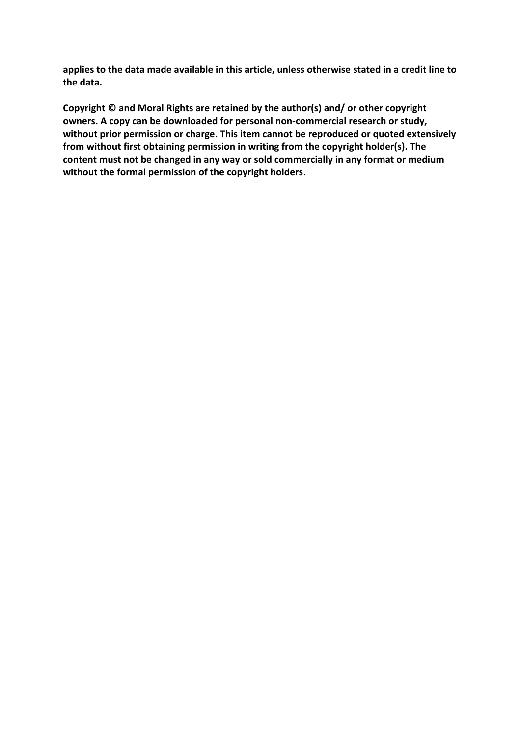**applies to the data made available in this article, unless otherwise stated in a credit line to the data.** 

**Copyright © and Moral Rights are retained by the author(s) and/ or other copyright owners. A copy can be downloaded for personal non-commercial research or study, without prior permission or charge. This item cannot be reproduced or quoted extensively from without first obtaining permission in writing from the copyright holder(s). The content must not be changed in any way or sold commercially in any format or medium without the formal permission of the copyright holders**.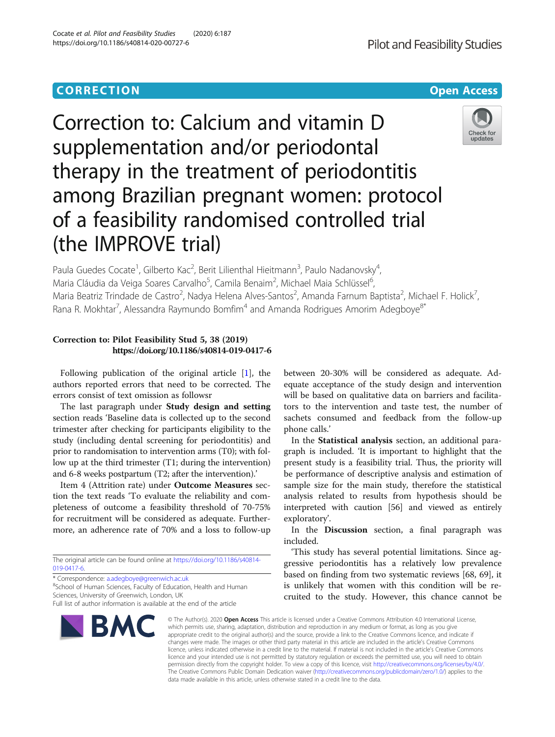## **CORRECTION CORRECTION CORRECTION**

# Correction to: Calcium and vitamin D supplementation and/or periodontal therapy in the treatment of periodontitis among Brazilian pregnant women: protocol of a feasibility randomised controlled trial (the IMPROVE trial)

Paula Guedes Cocate<sup>1</sup>, Gilberto Kac<sup>2</sup>, Berit Lilienthal Hieitmann<sup>3</sup>, Paulo Nadanovsky<sup>4</sup> , Maria Cláudia da Veiga Soares Carvalho<sup>5</sup>, Camila Benaim<sup>2</sup>, Michael Maia Schlüssel<sup>6</sup> , Maria Beatriz Trindade de Castro<sup>2</sup>, Nadya Helena Alves-Santos<sup>2</sup>, Amanda Farnum Baptista<sup>2</sup>, Michael F. Holick<sup>7</sup> , Rana R. Mokhtar<sup>7</sup>, Alessandra Raymundo Bomfim<sup>4</sup> and Amanda Rodrigues Amorim Adegboye<sup>8\*</sup>

## Correction to: Pilot Feasibility Stud 5, 38 (2019) https://doi.org/10.1186/s40814-019-0417-6

errors consist of text omission as followsr will be based on qualitative data on barriers and facilita-

section reads 'Baseline data is collected up to the second sachets consumed and feedback from the follow-up trimester after checking for participants eligibility to the phone calls.' study (including dental screening for periodontitis) and In the **Statistical analysis** section, an additional paraprior to randomisation to intervention arms (T0); with fol- graph is included. 'It is important to highlight that the low up at the third trimester (T1; during the intervention) present study is a feasibility trial. Thus, the priority will and 6-8 weeks postpartum (T2; after the intervention).' be performance of descriptive analysis and estimation of

tion the text reads 'To evaluate the reliability and com- analysis related to results from hypothesis should be pleteness of outcome a feasibility threshold of 70-75% interpreted with caution [56] and viewed as entirely for recruitment will be considered as adequate. Further- exploratory'. more, an adherence rate of 70% and a loss to follow-up In the **Discussion** section, a final paragraph was

Following publication of the original article [\[1](#page-4-0)], the between 20-30% will be considered as adequate. Adauthors reported errors that need to be corrected. The equate acceptance of the study design and intervention The last paragraph under **Study design and setting** tors to the intervention and taste test, the number of

Item 4 (Attrition rate) under Outcome Measures sec- sample size for the main study, therefore the statistical

included.

The original article can be found online at https://doi.org/10.1186/s40814<br>
This study has several potential limitations. Since ag-<br>
<u><sup>[019-0417-6.](https://doi.org/10.1186/s40814-019-0417-6)</u><br>
<br>
<sup>8</sup>School of Human Sciences, Faculty of Education, Health and Human<br>
<sup>8</u></sup></sup> is unlikely that women with this condition will be re-Sciences, University of Greenwich, London, UK cruited to the study. However, this chance cannot be Full list of author information is available at the end of the article

> © The Author(s), 2020 **Open Access** This article is licensed under a Creative Commons Attribution 4.0 International License, which permits use, sharing, adaptation, distribution and reproduction in any medium or format, as long as you give appropriate credit to the original author(s) and the source, provide a link to the Creative Commons licence, and indicate if changes were made. The images or other third party material in this article are included in the article's Creative Commons licence, unless indicated otherwise in a credit line to the material. If material is not included in the article's Creative Commons licence and your intended use is not permitted by statutory regulation or exceeds the permitted use, you will need to obtain permission directly from the copyright holder. To view a copy of this licence, visit [http://creativecommons.org/licenses/by/4.0/.](http://creativecommons.org/licenses/by/4.0/) The Creative Commons Public Domain Dedication waiver [\(http://creativecommons.org/publicdomain/zero/1.0/](http://creativecommons.org/publicdomain/zero/1.0/)) applies to the data made available in this article, unless otherwise stated in a credit line to the data.







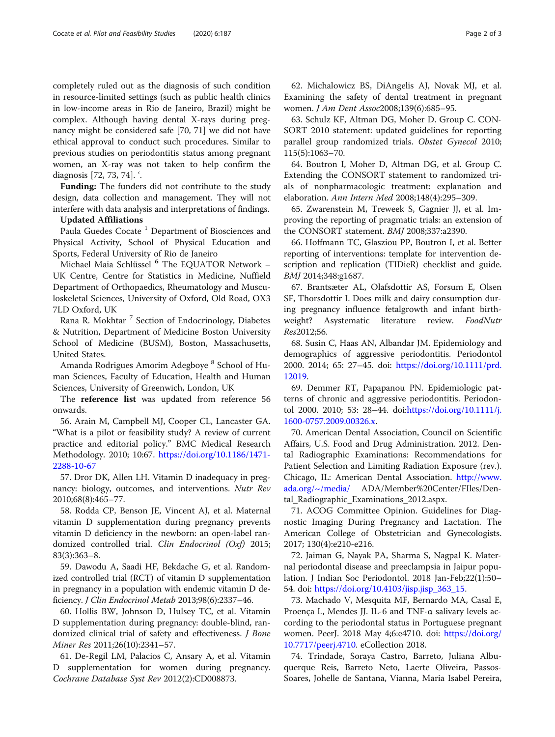completely ruled out as the diagnosis of such condition in resource-limited settings (such as public health clinics in low-income areas in Rio de Janeiro, Brazil) might be complex. Although having dental X-rays during pregnancy might be considered safe [70, 71] we did not have ethical approval to conduct such procedures. Similar to previous studies on periodontitis status among pregnant women, an X-ray was not taken to help confirm the diagnosis [72, 73, 74]. '.

Funding: The funders did not contribute to the study design, data collection and management. They will not interfere with data analysis and interpretations of findings.

### Updated Affiliations

Paula Guedes Cocate<sup>1</sup> Department of Biosciences and Physical Activity, School of Physical Education and Sports, Federal University of Rio de Janeiro

Michael Maia Schlüssel <sup>6</sup> The EQUATOR Network -UK Centre, Centre for Statistics in Medicine, Nuffield Department of Orthopaedics, Rheumatology and Musculoskeletal Sciences, University of Oxford, Old Road, OX3 7LD Oxford, UK

Rana R. Mokhtar<sup>7</sup> Section of Endocrinology, Diabetes & Nutrition, Department of Medicine Boston University School of Medicine (BUSM), Boston, Massachusetts, United States.

Amanda Rodrigues Amorim Adegboye<sup>8</sup> School of Human Sciences, Faculty of Education, Health and Human Sciences, University of Greenwich, London, UK

The reference list was updated from reference 56 onwards.

56. Arain M, Campbell MJ, Cooper CL, Lancaster GA. "What is a pilot or feasibility study? A review of current practice and editorial policy." BMC Medical Research Methodology. 2010; 10:67. [https://doi.org/10.1186/1471-](https://doi.org/10.1186/1471-2288-10-67) [2288-10-67](https://doi.org/10.1186/1471-2288-10-67)

57. Dror DK, Allen LH. Vitamin D inadequacy in pregnancy: biology, outcomes, and interventions. Nutr Rev 2010;68(8):465–77.

58. Rodda CP, Benson JE, Vincent AJ, et al. Maternal vitamin D supplementation during pregnancy prevents vitamin D deficiency in the newborn: an open-label randomized controlled trial. Clin Endocrinol (Oxf) 2015; 83(3):363–8.

59. Dawodu A, Saadi HF, Bekdache G, et al. Randomized controlled trial (RCT) of vitamin D supplementation in pregnancy in a population with endemic vitamin D deficiency. J Clin Endocrinol Metab 2013;98(6):2337–46.

60. Hollis BW, Johnson D, Hulsey TC, et al. Vitamin D supplementation during pregnancy: double-blind, randomized clinical trial of safety and effectiveness. J Bone Miner Res 2011;26(10):2341–57.

61. De-Regil LM, Palacios C, Ansary A, et al. Vitamin D supplementation for women during pregnancy. Cochrane Database Syst Rev 2012(2):CD008873.

62. Michalowicz BS, DiAngelis AJ, Novak MJ, et al. Examining the safety of dental treatment in pregnant women. J Am Dent Assoc2008;139(6):685–95.

63. Schulz KF, Altman DG, Moher D. Group C. CON-SORT 2010 statement: updated guidelines for reporting parallel group randomized trials. Obstet Gynecol 2010; 115(5):1063–70.

64. Boutron I, Moher D, Altman DG, et al. Group C. Extending the CONSORT statement to randomized trials of nonpharmacologic treatment: explanation and elaboration. Ann Intern Med 2008;148(4):295–309.

65. Zwarenstein M, Treweek S, Gagnier JJ, et al. Improving the reporting of pragmatic trials: an extension of the CONSORT statement. BMJ 2008;337:a2390.

66. Hoffmann TC, Glasziou PP, Boutron I, et al. Better reporting of interventions: template for intervention description and replication (TIDieR) checklist and guide. BMJ 2014;348:g1687.

67. Brantsæter AL, Olafsdottir AS, Forsum E, Olsen SF, Thorsdottir I. Does milk and dairy consumption during pregnancy influence fetalgrowth and infant birthweight? Asystematic literature review. FoodNutr Res2012;56.

68. Susin C, Haas AN, Albandar JM. Epidemiology and demographics of aggressive periodontitis. Periodontol 2000. 2014; 65: 27–45. doi: [https://doi.org/10.1111/prd.](https://doi.org/10.1111/prd.12019)  [12019](https://doi.org/10.1111/prd.12019).

69. Demmer RT, Papapanou PN. Epidemiologic patterns of chronic and aggressive periodontitis. Periodontol 2000. 2010; 53: 28–44. doi:[https://doi.org/10.1111/j.](https://doi.org/10.1111/j.1600-0757.2009.00326.x)  [1600-0757.2009.00326.x.](https://doi.org/10.1111/j.1600-0757.2009.00326.x)

70. American Dental Association, Council on Scientific Affairs, U.S. Food and Drug Administration. 2012. Dental Radiographic Examinations: Recommendations for Patient Selection and Limiting Radiation Exposure (rev.). Chicago, IL: American Dental Association. [http://www.](http://www.ada.org/~/media/)  [ada.org/~/media/](http://www.ada.org/~/media/) ADA/Member%20Center/FIles/Dental\_Radiographic\_Examinations\_2012.aspx.

71. ACOG Committee Opinion. Guidelines for Diagnostic Imaging During Pregnancy and Lactation. The American College of Obstetrician and Gynecologists. 2017; 130(4):e210-e216.

72. Jaiman G, Nayak PA, Sharma S, Nagpal K. Maternal periodontal disease and preeclampsia in Jaipur population. J Indian Soc Periodontol. 2018 Jan-Feb;22(1):50– 54. doi: [https://doi.org/10.4103/jisp.jisp\\_363\\_15.](https://doi.org/10.4103/jisp.jisp_363_15)

73. Machado V, Mesquita MF, Bernardo MA, Casal E, Proença L, Mendes JJ. IL-6 and TNF-α salivary levels according to the periodontal status in Portuguese pregnant women. PeerJ. 2018 May 4;6:e4710. doi: [https://doi.org/](https://doi.org/10.7717/peerj.4710)  [10.7717/peerj.4710.](https://doi.org/10.7717/peerj.4710) eCollection 2018.

74. Trindade, Soraya Castro, Barreto, Juliana Albuquerque Reis, Barreto Neto, Laerte Oliveira, Passos-Soares, Johelle de Santana, Vianna, Maria Isabel Pereira,